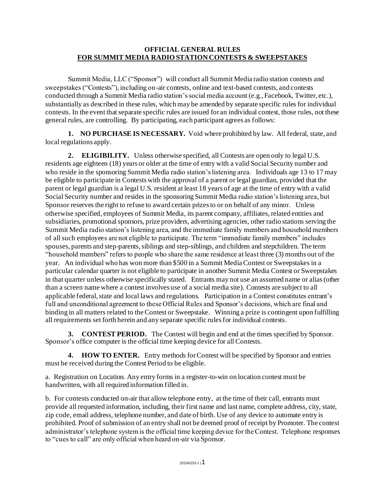## **OFFICIAL GENERAL RULES FOR SUMMIT MEDIA RADIO STATION CONTESTS & SWEEPSTAKES**

Summit Media, LLC ("Sponsor") will conduct all Summit Media radio station contests and sweepstakes ("Contests"), including on-air contests, online and text-based contests, and contests conducted through a Summit Media radio station's social media account (e.g., Facebook, Twitter, etc.), substantially as described in these rules, which may be amended by separate specific rules for individual contests. In the event that separate specific rules are issued for an individual contest, those rules, not these general rules, are controlling. By participating, each participant agrees as follows:

**1. NO PURCHASE IS NECESSARY.** Void where prohibited by law. All federal, state, and local regulations apply.

**2. ELIGIBILITY.** Unless otherwise specified, all Contests are open only to legal U.S. residents age eighteen (18) years or older at the time of entry with a valid Social Security number and who reside in the sponsoring Summit Media radio station's listening area. Individuals age 13 to 17 may be eligible to participate in Contests with the approval of a parent or legal guardian, provided that the parent or legal guardian is a legal U.S. resident at least 18 years of age at the time of entry with a valid Social Security number and resides in the sponsoring Summit Media radio station's listening area, but Sponsor reserves the right to refuse to award certain prizes to or on behalf of any minor. Unless otherwise specified, employees of Summit Media, its parent company, affiliates, related entities and subsidiaries, promotional sponsors, prize providers, advertising agencies, other radio stations serving the Summit Media radio station's listening area, and the immediate family members and household members of all such employees are not eligible to participate. The term "immediate family members" includes spouses, parents and step-parents, siblings and step-siblings, and children and stepchildren. The term "household members" refers to people who share the same residence at least three (3) months out of the year. An individual who has won more than \$500 in a Summit Media Contest or Sweepstakes in a particular calendar quarter is not eligible to participate in another Summit Media Contest or Sweepstakes in that quarter unless otherwise specifically stated. Entrants may not use an assumed name or alias (other than a screen name where a contest involves use of a social media site). Contests are subject to all applicable federal, state and local laws and regulations. Participation in a Contest constitutes entrant's full and unconditional agreement to these Official Rules and Sponsor's decisions, which are final and binding in all matters related to the Contest or Sweepstake. Winning a prize is contingent upon fulfilling all requirements set forth herein and any separate specific rules for individual contests.

**3. CONTEST PERIOD.** The Contest will begin and end at the times specified by Sponsor. Sponsor's office computer is the official time keeping device for all Contests.

**4. HOW TO ENTER.** Entry methods for Contest will be specified by Sponsor and entries must be received during the Contest Period to be eligible.

a. Registration on Location. Any entry forms in a register-to-win on location contest must be handwritten, with all required information filled in.

b. For contests conducted on-air that allow telephone entry, at the time of their call, entrants must provide all requested information, including, their first name and last name, complete address, city, state, zip code, email address, telephone number, and date of birth. Use of any device to automate entry is prohibited. Proof of submission of an entry shall not be deemed proof of receipt by Promoter. The contest administrator's telephone system is the official time keeping device for the Contest. Telephone responses to "cues to call" are only official when heard on-air via Sponsor.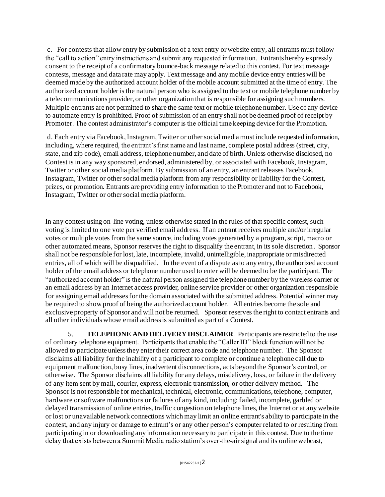c. For contests that allow entry by submission of a text entry or website entry, all entrants must follow the "call to action" entry instructions and submit any requested information. Entrants hereby expressly consent to the receipt of a confirmatory bounce-back message related to this contest. For text message contests, message and data rate may apply. Text message and any mobile device entry entries will be deemed made by the authorized account holder of the mobile account submitted at the time of entry. The authorized account holder is the natural person who is assigned to the text or mobile telephone number by a telecommunications provider, or other organization that is responsible for assigning such numbers. Multiple entrants are not permitted to share the same text or mobile telephone number. Use of any device to automate entry is prohibited. Proof of submission of an entry shall not be deemed proof of receipt by Promoter. The contest administrator's computer is the official time keeping device for the Promotion.

d. Each entry via Facebook, Instagram, Twitter or other social media must include requested information, including, where required, the entrant's first name and last name, complete postal address (street, city, state, and zip code), email address, telephone number, and date of birth. Unless otherwise disclosed, no Contest is in any way sponsored, endorsed, administered by, or associated with Facebook, Instagram, Twitter or other social media platform. By submission of an entry, an entrant releases Facebook, Instagram, Twitter or other social media platform from any responsibility or liability for the Contest, prizes, or promotion. Entrants are providing entry information to the Promoter and not to Facebook, Instagram, Twitter or other social media platform.

In any contest using on-line voting, unless otherwise stated in the rules of that specific contest, such voting is limited to one vote per verified email address. If an entrant receives multiple and/or irregular votes or multiple votes from the same source, including votes generated by a program, script, macro or other automated means, Sponsor reserves the right to disqualify the entrant, in its sole discretion. Sponsor shall not be responsible for lost, late, incomplete, invalid, unintelligible, inappropriate or misdirected entries, all of which will be disqualified. In the event of a dispute as to any entry, the authorized account holder of the email address or telephone number used to enter will be deemed to be the participant. The "authorized account holder" is the natural person assigned the telephone number by the wireless carrier or an email address by an Internet access provider, online service provider or other organization responsible for assigning email addresses for the domain associated with the submitted address. Potential winner may be required to show proof of being the authorized account holder. All entries become the sole and exclusive property of Sponsor and will not be returned. Sponsor reserves the right to contact entrants and all other individuals whose email address is submitted as part of a Contest.

5. **TELEPHONE AND DELIVERY DISCLAIMER**. Participants are restricted to the use of ordinary telephone equipment. Participants that enable the "Caller ID" block function will not be allowed to participate unless they enter their correct area code and telephone number. The Sponsor disclaims all liability for the inability of a participant to complete or continue a telephone call due to equipment malfunction, busy lines, inadvertent disconnections, acts beyond the Sponsor's control, or otherwise. The Sponsor disclaims all liability for any delays, misdelivery, loss, or failure in the delivery of any item sent by mail, courier, express, electronic transmission, or other delivery method. The Sponsor is not responsible for mechanical, technical, electronic, communications, telephone, computer, hardware or software malfunctions or failures of any kind, including: failed, incomplete, garbled or delayed transmission of online entries, traffic congestion on telephone lines, the Internet or at any website or lost or unavailable network connections which may limit an online entrant's ability to participate in the contest, and any injury or damage to entrant's or any other person's computer related to or resulting from participating in or downloading any information necessary to participate in this contest. Due to the time delay that exists between a Summit Media radio station's over-the-air signal and its online webcast,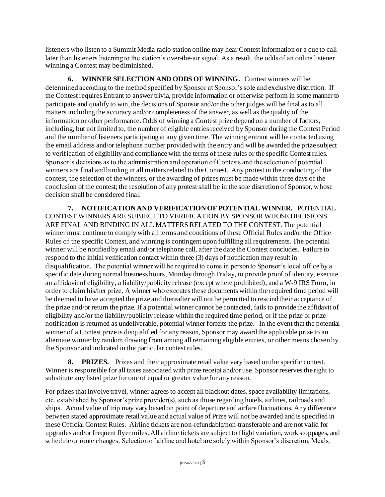listeners who listen to a Summit Media radio station online may hear Contest information or a cue to call later than listeners listening to the station's over-the-air signal. As a result, the odds of an online listener winning a Contest may be diminished.

**6. WINNER SELECTION AND ODDS OF WINNING.** Contest winners will be determined according to the method specified by Sponsor at Sponsor's sole and exclusive discretion. If the Contest requires Entrant to answer trivia, provide information or otherwise perform in some manner to participate and qualify to win, the decisions of Sponsor and/or the other judges will be final as to all matters including the accuracy and/or completeness of the answer, as well as the quality of the information or other performance. Odds of winning a Contest prize depend on a number of factors, including, but not limited to, the number of eligible entries received by Sponsor during the Contest Period and the number of listeners participating at any given time. The winning entrant will be contacted using the email address and/or telephone number provided with the entry and will be awarded the prize subject to verification of eligibility and compliance with the terms of these rules or the specific Contest rules. Sponsor's decisions as to the administration and operation of Contests and the selection of potential winners are final and binding in all matters related to the Contest. Any protest in the conducting of the contest, the selection of the winners, or the awarding of prizes must be made within three days of the conclusion of the contest; the resolution of any protest shall be in the sole discretion of Sponsor, whose decision shall be considered final.

**7. NOTIFICATION AND VERIFICATION OF POTENTIAL WINNER.** POTENTIAL CONTEST WINNERS ARE SUBJECT TO VERIFICATION BY SPONSOR WHOSE DECISIONS ARE FINAL AND BINDING IN ALL MATTERS RELATED TO THE CONTEST. The potential winner must continue to comply with all terms and conditions of these Official Rules and/or the Office Rules of the specific Contest, and winning is contingent upon fulfilling all requirements. The potential winner will be notified by email and/or telephone call, after the date the Contest concludes. Failure to respond to the initial verification contact within three (3) days of notification may result in disqualification. The potential winner will be required to come in person to Sponsor's local office by a specific date during normal business hours, Monday through Friday, to provide proof of identity, execute an affidavit of eligibility, a liability/publicity release (except where prohibited), and a W-9 IRS Form, in order to claim his/her prize. A winner who executes these documents within the required time period will be deemed to have accepted the prize and thereafter will not be permitted to rescind their acceptance of the prize and/or return the prize. If a potential winner cannot be contacted, fails to provide the affidavit of eligibility and/or the liability/publicity release within the required time period, or if the prize or prize notification is returned as undeliverable, potential winner forfeits the prize. In the event that the potential winner of a Contest prize is disqualified for any reason, Sponsor may award the applicable prize to an alternate winner by random drawing from among all remaining eligible entries, or other means chosen by the Sponsor and indicated in the particular contest rules.

**8. PRIZES.** Prizes and their approximate retail value vary based on the specific contest. Winner is responsible for all taxes associated with prize receipt and/or use. Sponsor reserves the right to substitute any listed prize for one of equal or greater value for any reason.

For prizes that involve travel, winner agrees to accept all blackout dates, space availability limitations, etc. established by Sponsor's prize provider(s), such as those regarding hotels, airlines, railroads and ships. Actual value of trip may vary based on point of departure and airfare fluctuations. Any difference between stated approximate retail value and actual value of Prize will not be awarded and is specified in these Official Contest Rules. Airline tickets are non-refundable/non-transferable and are not valid for upgrades and/or frequent flyer miles. All airline tickets are subject to flight variation, work stoppages, and schedule or route changes. Selection of airline and hotel are solely within Sponsor's discretion. Meals,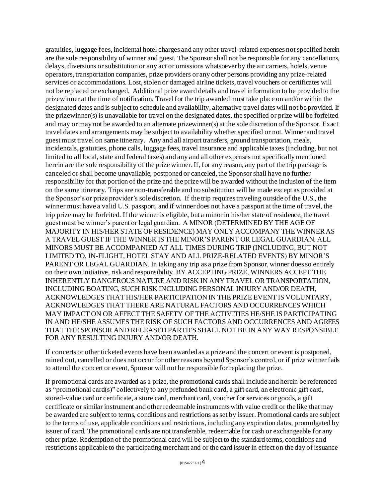gratuities, luggage fees, incidental hotel charges and any other travel-related expenses not specified herein are the sole responsibility of winner and guest. The Sponsor shall not be responsible for any cancellations, delays, diversions or substitution or any act or omissions whatsoever by the air carriers, hotels, venue operators, transportation companies, prize providers or any other persons providing any prize-related services or accommodations. Lost, stolen or damaged airline tickets, travel vouchers or certificates will not be replaced or exchanged. Additional prize award details and travel information to be provided to the prizewinner at the time of notification. Travel for the trip awarded must take place on and/or within the designated dates and is subject to schedule and availability, alternative travel dates will not be provided. If the prizewinner(s) is unavailable for travel on the designated dates, the specified or prize will be forfeited and may or may not be awarded to an alternate prizewinner(s) at the sole discretion of the Sponsor. Exact travel dates and arrangements may be subject to availability whether specified or not. Winner and travel guest must travel on same itinerary. Any and all airport transfers, ground transportation, meals, incidentals, gratuities, phone calls, luggage fees, travel insurance and applicable taxes (including, but not limited to all local, state and federal taxes) and any and all other expenses not specifically mentioned herein are the sole responsibility of the prize winner. If, for any reason, any part of the trip package is canceled or shall become unavailable, postponed or canceled, the Sponsor shall have no further responsibility for that portion of the prize and the prize will be awarded without the inclusion of the item on the same itinerary. Trips are non-transferable and no substitution will be made except as provided at the Sponsor's or prize provider's sole discretion. If the trip requires traveling outside of the U.S., the winner must have a valid U.S. passport, and if winner does not have a passport at the time of travel, the trip prize may be forfeited. If the winner is eligible, but a minor in his/her state of residence, the travel guest must be winner's parent or legal guardian. A MINOR (DETERMINED BY THE AGE OF MAJORITY IN HIS/HER STATE OF RESIDENCE) MAY ONLY ACCOMPANY THE WINNER AS A TRAVEL GUEST IF THE WINNER IS THE MINOR'S PARENT OR LEGAL GUARDIAN. ALL MINORS MUST BE ACCOMPANIED AT ALL TIMES DURING TRIP (INCLUDING, BUT NOT LIMITED TO, IN-FLIGHT, HOTEL STAY AND ALL PRIZE-RELATED EVENTS) BY MINOR'S PARENT OR LEGAL GUARDIAN. In taking any trip as a prize from Sponsor, winner does so entirely on their own initiative, risk and responsibility. BY ACCEPTING PRIZE, WINNERS ACCEPT THE INHERENTLY DANGEROUS NATURE AND RISK IN ANY TRAVEL OR TRANSPORTATION, INCLUDING BOATING, SUCH RISK INCLUDING PERSONAL INJURY AND/OR DEATH, ACKNOWLEDGES THAT HIS/HER PARTICIPATION IN THE PRIZE EVENT IS VOLUNTARY, ACKNOWLEDGES THAT THERE ARE NATURAL FACTORS AND OCCURRENCES WHICH MAY IMPACT ON OR AFFECT THE SAFETY OF THE ACTIVITIES HE/SHE IS PARTICIPATING IN AND HE/SHE ASSUMES THE RISK OF SUCH FACTORS AND OCCURRENCES AND AGREES THAT THE SPONSOR AND RELEASED PARTIES SHALL NOT BE IN ANY WAY RESPONSIBLE FOR ANY RESULTING INJURY AND/OR DEATH.

If concerts or other ticketed events have been awarded as a prize and the concert or event is postponed, rained out, cancelled or does not occur for other reasons beyond Sponsor's control, or if prize winner fails to attend the concert or event, Sponsor will not be responsible for replacing the prize.

If promotional cards are awarded as a prize, the promotional cards shall include and herein be referenced as "promotional card(s)" collectively to any prefunded bank card, a gift card, an electronic gift card, stored-value card or certificate, a store card, merchant card, voucher for services or goods, a gift certificate or similar instrument and other redeemable instruments with value credit or the like that may be awarded are subject to terms, conditions and restrictions as set by issuer. Promotional cards are subject to the terms of use, applicable conditions and restrictions, including any expiration dates, promulgated by issuer of card. The promotional cards are not transferable, redeemable for cash or exchangeable for any other prize. Redemption of the promotional card will be subject to the standard terms, conditions and restrictions applicable to the participating merchant and or the card issuer in effect on the day of issuance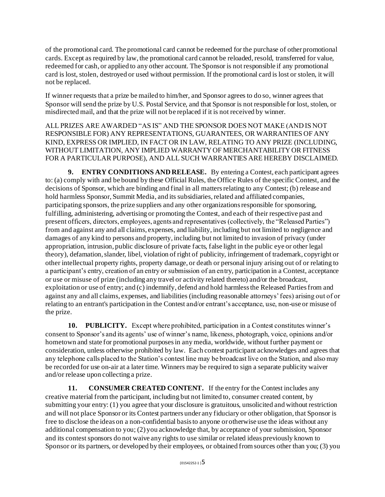of the promotional card. The promotional card cannot be redeemed for the purchase of other promotional cards. Except as required by law, the promotional card cannot be reloaded, resold, transferred for value, redeemed for cash, or applied to any other account. The Sponsor is not responsible if any promotional card is lost, stolen, destroyed or used without permission. If the promotional card is lost or stolen, it will not be replaced.

If winner requests that a prize be mailed to him/her, and Sponsor agrees to do so, winner agrees that Sponsor will send the prize by U.S. Postal Service, and that Sponsor is not responsible for lost, stolen, or misdirected mail, and that the prize will not be replaced if it is not received by winner.

ALL PRIZES ARE AWARDED "AS IS" AND THE SPONSOR DOES NOT MAKE (AND IS NOT RESPONSIBLE FOR) ANY REPRESENTATIONS, GUARANTEES, OR WARRANTIES OF ANY KIND, EXPRESS OR IMPLIED, IN FACT OR IN LAW, RELATING TO ANY PRIZE (INCLUDING, WITHOUT LIMITATION, ANY IMPLIED WARRANTY OF MERCHANTABILITY OR FITNESS FOR A PARTICULAR PURPOSE), AND ALL SUCH WARRANTIES ARE HEREBY DISCLAIMED.

**9. ENTRY CONDITIONS AND RELEASE.** By entering a Contest, each participant agrees to: (a) comply with and be bound by these Official Rules, the Office Rules of the specific Contest, and the decisions of Sponsor, which are binding and final in all matters relating to any Contest; (b) release and hold harmless Sponsor, Summit Media, and its subsidiaries, related and affiliated companies, participating sponsors, the prize suppliers and any other organizations responsible for sponsoring, fulfilling, administering, advertising or promoting the Contest, and each of their respective past and present officers, directors, employees, agents and representatives (collectively, the "Released Parties") from and against any and all claims, expenses, and liability, including but not limited to negligence and damages of any kind to persons and property, including but not limited to invasion of privacy (under appropriation, intrusion, public disclosure of private facts, false light in the public eye or other legal theory), defamation, slander, libel, violation of right of publicity, infringement of trademark, copyright or other intellectual property rights, property damage, or death or personal injury arising out of or relating to a participant's entry, creation of an entry or submission of an entry, participation in a Contest, acceptance or use or misuse of prize (including any travel or activity related thereto) and/or the broadcast, exploitation or use of entry; and (c) indemnify, defend and hold harmless the Released Parties from and against any and all claims, expenses, and liabilities (including reasonable attorneys' fees) arising out of or relating to an entrant's participation in the Contest and/or entrant's acceptance, use, non-use or misuse of the prize.

**10. PUBLICITY.** Except where prohibited, participation in a Contest constitutes winner's consent to Sponsor's and its agents' use of winner's name, likeness, photograph, voice, opinions and/or hometown and state for promotional purposes in any media, worldwide, without further payment or consideration, unless otherwise prohibited by law. Each contest participant acknowledges and agrees that any telephone calls placed to the Station's contest line may be broadcast live on the Station, and also may be recorded for use on-air at a later time. Winners may be required to sign a separate publicity waiver and/or release upon collecting a prize.

**11. CONSUMER CREATED CONTENT.** If the entry for the Contest includes any creative material from the participant, including but not limited to, consumer created content, by submitting your entry: (1) you agree that your disclosure is gratuitous, unsolicited and without restriction and will not place Sponsor or its Contest partners under any fiduciary or other obligation, that Sponsor is free to disclose the ideas on a non-confidential basis to anyone or otherwise use the ideas without any additional compensation to you; (2) you acknowledge that, by acceptance of your submission, Sponsor and its contest sponsors do not waive any rights to use similar or related ideas previously known to Sponsor or its partners, or developed by their employees, or obtained from sources other than you; (3) you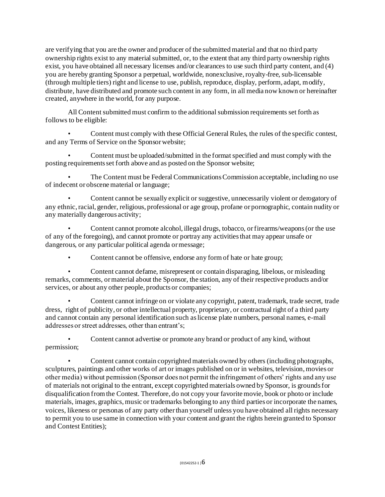are verifying that you are the owner and producer of the submitted material and that no third party ownership rights exist to any material submitted, or, to the extent that any third party ownership rights exist, you have obtained all necessary licenses and/or clearances to use such third party content, and (4) you are hereby granting Sponsor a perpetual, worldwide, nonexclusive, royalty-free, sub-licensable (through multiple tiers) right and license to use, publish, reproduce, display, perform, adapt, modify, distribute, have distributed and promote such content in any form, in all media now known or hereinafter created, anywhere in the world, for any purpose.

All Content submitted must confirm to the additional submission requirements set forth as follows to be eligible:

• Content must comply with these Official General Rules, the rules of the specific contest, and any Terms of Service on the Sponsor website;

• Content must be uploaded/submitted in the format specified and must comply with the posting requirements set forth above and as posted on the Sponsor website;

• The Content must be Federal Communications Commission acceptable, including no use of indecent or obscene material or language;

• Content cannot be sexually explicit or suggestive, unnecessarily violent or derogatory of any ethnic, racial, gender, religious, professional or age group, profane or pornographic, contain nudity or any materially dangerous activity;

• Content cannot promote alcohol, illegal drugs, tobacco, or firearms/weapons (or the use of any of the foregoing), and cannot promote or portray any activities that may appear unsafe or dangerous, or any particular political agenda or message;

• Content cannot be offensive, endorse any form of hate or hate group;

• Content cannot defame, misrepresent or contain disparaging, libelous, or misleading remarks, comments, or material about the Sponsor, the station, any of their respective products and/or services, or about any other people, products or companies;

• Content cannot infringe on or violate any copyright, patent, trademark, trade secret, trade dress, right of publicity, or other intellectual property, proprietary, or contractual right of a third party and cannot contain any personal identification such as license plate numbers, personal names, e-mail addresses or street addresses, other than entrant's;

• Content cannot advertise or promote any brand or product of any kind, without permission;

• Content cannot contain copyrighted materials owned by others (including photographs, sculptures, paintings and other works of art or images published on or in websites, television, movies or other media) without permission (Sponsor does not permit the infringement of others' rights and any use of materials not original to the entrant, except copyrighted materials owned by Sponsor, is grounds for disqualification from the Contest. Therefore, do not copy your favorite movie, book or photo or include materials, images, graphics, music or trademarks belonging to any third parties or incorporate the names, voices, likeness or personas of any party other than yourself unless you have obtained all rights necessary to permit you to use same in connection with your content and grant the rights herein granted to Sponsor and Contest Entities);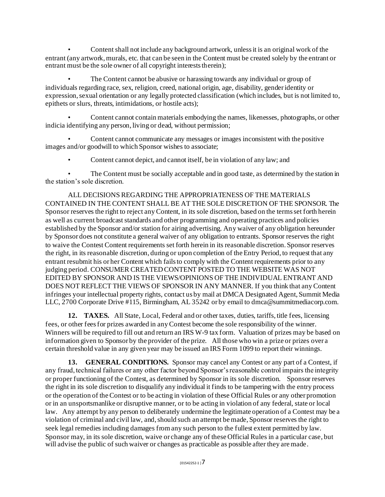• Content shall not include any background artwork, unless it is an original work of the entrant (any artwork, murals, etc. that can be seen in the Content must be created solely by the entrant or entrant must be the sole owner of all copyright interests therein);

The Content cannot be abusive or harassing towards any individual or group of individuals regarding race, sex, religion, creed, national origin, age, disability, gender identity or expression, sexual orientation or any legally protected classification (which includes, but is not limited to, epithets or slurs, threats, intimidations, or hostile acts);

• Content cannot contain materials embodying the names, likenesses, photographs, or other indicia identifying any person, living or dead, without permission;

• Content cannot communicate any messages or images inconsistent with the positive images and/or goodwill to which Sponsor wishes to associate;

• Content cannot depict, and cannot itself, be in violation of any law; and

• The Content must be socially acceptable and in good taste, as determined by the station in the station's sole discretion.

ALL DECISIONS REGARDING THE APPROPRIATENESS OF THE MATERIALS CONTAINED IN THE CONTENT SHALL BE AT THE SOLE DISCRETION OF THE SPONSOR. The Sponsor reserves the right to reject any Content, in its sole discretion, based on the terms set forth herein as well as current broadcast standards and other programming and operating practices and policies established by the Sponsor and/or station for airing advertising. Any waiver of any obligation hereunder by Sponsor does not constitute a general waiver of any obligation to entrants. Sponsor reserves the right to waive the Contest Content requirements set forth herein in its reasonable discretion. Sponsor reserves the right, in its reasonable discretion, during or upon completion of the Entry Period, to request that any entrant resubmit his or her Content which fails to comply with the Content requirements prior to any judging period. CONSUMER CREATED CONTENT POSTED TO THE WEBSITE WAS NOT EDITED BY SPONSOR AND IS THE VIEWS/OPINIONS OF THE INDIVIDUAL ENTRANT AND DOES NOT REFLECT THE VIEWS OF SPONSOR IN ANY MANNER. If you think that any Content infringes your intellectual property rights, contact us by mail at DMCA Designated Agent, Summit Media LLC, 2700 Corporate Drive #115, Birmingham, AL 35242 or by email to dmca@summitmediacorp.com.

**12. TAXES.** All State, Local, Federal and or other taxes, duties, tariffs, title fees, licensing fees, or other fees for prizes awarded in any Contest become the sole responsibility of the winner. Winners will be required to fill out and return an IRS W-9 tax form. Valuation of prizes may be based on information given to Sponsor by the provider of the prize. All those who win a prize or prizes over a certain threshold value in any given year may be issued an IRS Form 1099 to report their winnings.

**13. GENERAL CONDITIONS.** Sponsor may cancel any Contest or any part of a Contest, if any fraud, technical failures or any other factor beyond Sponsor's reasonable control impairs the integrity or proper functioning of the Contest, as determined by Sponsor in its sole discretion. Sponsor reserves the right in its sole discretion to disqualify any individual it finds to be tampering with the entry process or the operation of the Contest or to be acting in violation of these Official Rules or any other promotion or in an unsportsmanlike or disruptive manner, or to be acting in violation of any federal, state or local law. Any attempt by any person to deliberately undermine the legitimate operation of a Contest may be a violation of criminal and civil law, and, should such an attempt be made, Sponsor reserves the right to seek legal remedies including damages from any such person to the fullest extent permitted by law. Sponsor may, in its sole discretion, waive or change any of these Official Rules in a particular case, but will advise the public of such waiver or changes as practicable as possible after they are made.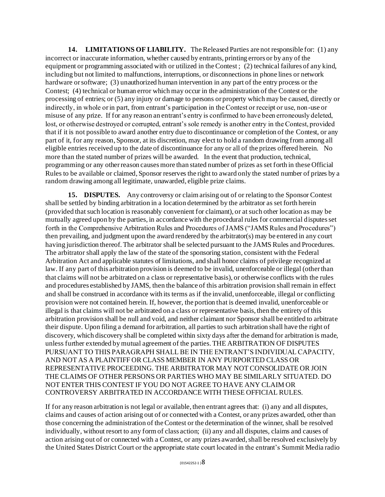**14. LIMITATIONS OF LIABILITY.** The Released Parties are not responsible for: (1) any incorrect or inaccurate information, whether caused by entrants, printing errors or by any of the equipment or programming associated with or utilized in the Contest ; (2) technical failures of any kind, including but not limited to malfunctions, interruptions, or disconnections in phone lines or network hardware or software; (3) unauthorized human intervention in any part of the entry process or the Contest; (4) technical or human error which may occur in the administration of the Contest or the processing of entries; or (5) any injury or damage to persons or property which may be caused, directly or indirectly, in whole or in part, from entrant's participation in the Contest or receipt or use, non-use or misuse of any prize. If for any reason an entrant's entry is confirmed to have been erroneously deleted, lost, or otherwise destroyed or corrupted, entrant's sole remedy is another entry in the Contest, provided that if it is not possible to award another entry due to discontinuance or completion of the Contest, or any part of it, for any reason, Sponsor, at its discretion, may elect to hold a random drawing from among all eligible entries received up to the date of discontinuance for any or all of the prizes offered herein. No more than the stated number of prizes will be awarded. In the event that production, technical, programming or any other reason causes more than stated number of prizes as set forth in these Official Rules to be available or claimed, Sponsor reserves the right to award only the stated number of prizes by a random drawing among all legitimate, unawarded, eligible prize claims.

**15. DISPUTES.** Any controversy or claim arising out of or relating to the Sponsor Contest shall be settled by binding arbitration in a location determined by the arbitrator as set forth herein (provided that such location is reasonably convenient for claimant), or at such other location as may be mutually agreed upon by the parties, in accordance with the procedural rules for commercial disputes set forth in the Comprehensive Arbitration Rules and Procedures of JAMS ("JAMS Rules and Procedures") then prevailing, and judgment upon the award rendered by the arbitrator(s) may be entered in any court having jurisdiction thereof. The arbitrator shall be selected pursuant to the JAMS Rules and Procedures. The arbitrator shall apply the law of the state of the sponsoring station, consistent with the Federal Arbitration Act and applicable statutes of limitations, and shall honor claims of privilege recognized at law. If any part of this arbitration provision is deemed to be invalid, unenforceable or illegal (other than that claims will not be arbitrated on a class or representative basis), or otherwise conflicts with the rules and procedures established by JAMS, then the balance of this arbitration provision shall remain in effect and shall be construed in accordance with its terms as if the invalid, unenforceable, illegal or conflicting provision were not contained herein. If, however, the portion that is deemed invalid, unenforceable or illegal is that claims will not be arbitrated on a class or representative basis, then the entirety of this arbitration provision shall be null and void, and neither claimant nor Sponsor shall be entitled to arbitrate their dispute. Upon filing a demand for arbitration, all parties to such arbitration shall have the right of discovery, which discovery shall be completed within sixty days after the demand for arbitration is made, unless further extended by mutual agreement of the parties. THE ARBITRATION OF DISPUTES PURSUANT TO THIS PARAGRAPH SHALL BE IN THE ENTRANT'S INDIVIDUAL CAPACITY, AND NOT AS A PLAINTIFF OR CLASS MEMBER IN ANY PURPORTED CLASS OR REPRESENTATIVE PROCEEDING. THE ARBITRATOR MAY NOT CONSOLIDATE OR JOIN THE CLAIMS OF OTHER PERSONS OR PARTIES WHO MAY BE SIMILARLY SITUATED. DO NOT ENTER THIS CONTEST IF YOU DO NOT AGREE TO HAVE ANY CLAIM OR CONTROVERSY ARBITRATED IN ACCORDANCE WITH THESE OFFICIAL RULES.

If for any reason arbitration is not legal or available, then entrant agrees that: (i) any and all disputes, claims and causes of action arising out of or connected with a Contest, or any prizes awarded, other than those concerning the administration of the Contest or the determination of the winner, shall be resolved individually, without resort to any form of class action; (ii) any and all disputes, claims and causes of action arising out of or connected with a Contest, or any prizes awarded, shall be resolved exclusively by the United States District Court or the appropriate state court located in the entrant's Summit Media radio